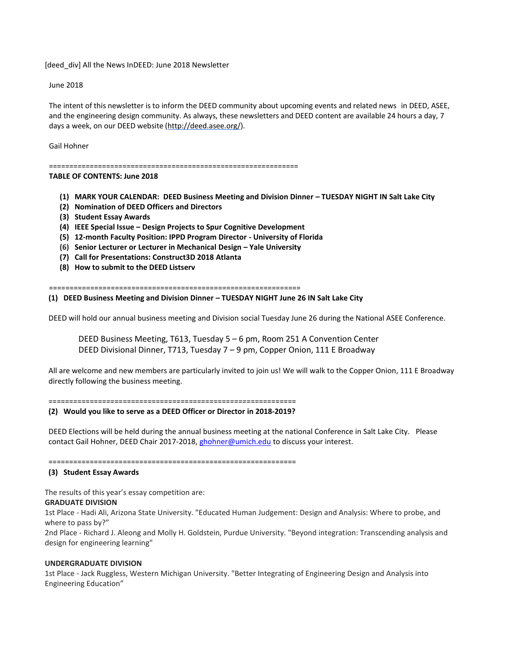[deed\_div] All the News InDEED: June 2018 Newsletter

June 2018

The intent of this newsletter is to inform the DEED community about upcoming events and related news in DEED, ASEE, and the engineering design community. As always, these newsletters and DEED content are available 24 hours a day, 7 days a week, on our DEED website [\(http://deed.asee.org/\)](http://deed.asee.org/).

Gail Hohner

=============================================================

### **TABLE OF CONTENTS: June 2018**

- **(1) MARK YOUR CALENDAR: DEED Business Meeting and Division Dinner – TUESDAY NIGHT IN Salt Lake City**
- **(2) Nomination of DEED Officers and Directors**
- **(3) Student Essay Awards**
- **(4) IEEE Special Issue – Design Projects to Spur Cognitive Development**
- **(5) 12-month Faculty Position: IPPD Program Director - University of Florida**
- **(6) Senior Lecturer or Lecturer in Mechanical Design – Yale University**
- **(7) Call for Presentations: Construct3D 2018 Atlanta**
- **(8) How to submit to the DEED Listserv**

=============================================================

#### **(1) DEED Business Meeting and Division Dinner – TUESDAY NIGHT June 26 IN Salt Lake City**

DEED will hold our annual business meeting and Division social Tuesday June 26 during the National ASEE Conference.

DEED Business Meeting, T613, Tuesday 5 – 6 pm, Room 251 A Convention Center DEED Divisional Dinner, T713, Tuesday 7 – 9 pm, Copper Onion, 111 E Broadway

All are welcome and new members are particularly invited to join us! We will walk to the Copper Onion, 111 E Broadway directly following the business meeting.

============================================================

#### **(2) Would you like to serve as a DEED Officer or Director in 2018-2019?**

DEED Elections will be held during the annual business meeting at the national Conference in Salt Lake City. Please contact Gail Hohner, DEED Chair 2017-2018[, ghohner@umich.edu](mailto:ghohner@umich.edu) to discuss your interest.

#### ============================================================

#### **(3) Student Essay Awards**

The results of this year's essay competition are:

#### **GRADUATE DIVISION**

1st Place - Hadi Ali, Arizona State University. "Educated Human Judgement: Design and Analysis: Where to probe, and where to pass by?"

2nd Place - Richard J. Aleong and Molly H. Goldstein, Purdue University. "Beyond integration: Transcending analysis and design for engineering learning"

### **UNDERGRADUATE DIVISION**

1st Place - Jack Ruggless, Western Michigan University. "Better Integrating of Engineering Design and Analysis into Engineering Education"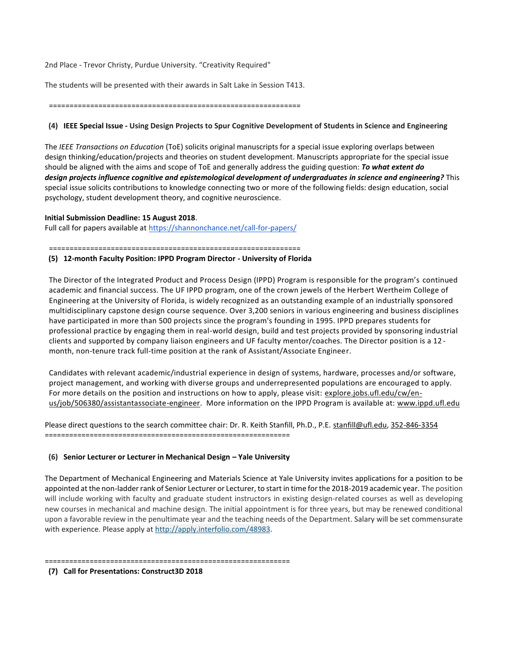2nd Place - Trevor Christy, Purdue University. "Creativity Required"

The students will be presented with their awards in Salt Lake in Session T413.

=============================================================

# **(4) IEEE Special Issue - Using Design Projects to Spur Cognitive Development of Students in Science and Engineering**

The *IEEE Transactions on Education* (ToE) solicits original manuscripts for a special issue exploring overlaps between design thinking/education/projects and theories on student development. Manuscripts appropriate for the special issue should be aligned with the aims and scope of ToE and generally address the guiding question: *To what extent do design projects influence cognitive and epistemological development of undergraduates in science and engineering?* This special issue solicits contributions to knowledge connecting two or more of the following fields: design education, social psychology, student development theory, and cognitive neuroscience.

# **Initial Submission Deadline: 15 August 2018**.

Full call for papers available at <https://shannonchance.net/call-for-papers/>

=============================================================

### **(5) 12-month Faculty Position: IPPD Program Director - University of Florida**

The Director of the Integrated Product and Process Design (IPPD) Program is responsible for the program's continued academic and financial success. The UF IPPD program, one of the crown jewels of the Herbert Wertheim College of Engineering at the University of Florida, is widely recognized as an outstanding example of an industrially sponsored multidisciplinary capstone design course sequence. Over 3,200 seniors in various engineering and business disciplines have participated in more than 500 projects since the program's founding in 1995. IPPD prepares students for professional practice by engaging them in real-world design, build and test projects provided by sponsoring industrial clients and supported by company liaison engineers and UF faculty mentor/coaches. The Director position is a 12 month, non-tenure track full-time position at the rank of Assistant/Associate Engineer.

Candidates with relevant academic/industrial experience in design of systems, hardware, processes and/or software, project management, and working with diverse groups and underrepresented populations are encouraged to apply. For more details on the position and instructions on how to apply, please visit: [explore.jobs.ufl.edu/cw/en](http://explore.jobs.ufl.edu/cw/en-us/job/506380/assistantassociate-engineer)[us/job/506380/assistantassociate-engineer.](http://explore.jobs.ufl.edu/cw/en-us/job/506380/assistantassociate-engineer) More information on the IPPD Program is available at: [www.ippd.ufl.edu](http://www.ippd.ufl.edu/)

Please direct questions to the search committee chair: Dr. R. Keith Stanfill, Ph.D., P.E. [stanfill@ufl.edu,](mailto:stanfill@ufl.edu) [352-846-3354](tel:(352)%20846-3354) ============================================================

# **(6) Senior Lecturer or Lecturer in Mechanical Design – Yale University**

The Department of Mechanical Engineering and Materials Science at Yale University invites applications for a position to be appointed at the non-ladder rank of Senior Lecturer or Lecturer, to start in time for the 2018-2019 academic year. The position will include working with faculty and graduate student instructors in existing design-related courses as well as developing new courses in mechanical and machine design. The initial appointment is for three years, but may be renewed conditional upon a favorable review in the penultimate year and the teaching needs of the Department. Salary will be set commensurate with experience. Please apply at [http://apply.interfolio.com/48983.](https://urldefense.proofpoint.com/v2/url?u=http-3A__apply.interfolio.com_48983&d=DwMFAg&c=cjytLXgP8ixuoHflwc-poQ&r=M5UBPeuAOJtFgG4U9LxQYNHuDCUI-KPGsIKJwUHurGY&m=PSw31UpRQ6StlCIzX6HxGW8syjUa5ih0wKf-_15sIjM&s=D72TEK0JQAOD5hczf_0qO_gUkwl8S_ChEkTixxC6ikw&e=)

============================================================

**(7) Call for Presentations: Construct3D 2018**